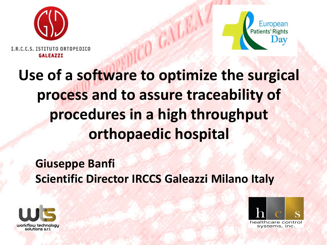



I.R.C.C.S. ISTITUTO ORTOPEDICO **GALEAZZI** 

## **Use of a software to optimize the surgical process and to assure traceability of procedures in a high throughput orthopaedic hospital**

#### **Giuseppe Banfi Scientific Director IRCCS Galeazzi Milano Italy**



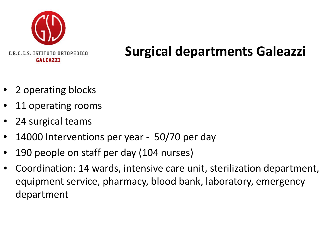

#### **Surgical departments Galeazzi**

- 2 operating blocks
- 11 operating rooms
- 24 surgical teams
- 14000 Interventions per year 50/70 per day
- 190 people on staff per day (104 nurses)
- Coordination: 14 wards, intensive care unit, sterilization department, equipment service, pharmacy, blood bank, laboratory, emergency department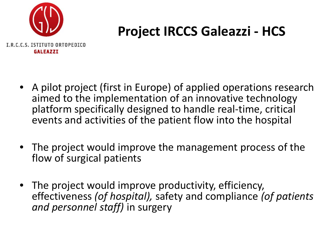

### **Project IRCCS Galeazzi - HCS**

- A pilot project (first in Europe) of applied operations research aimed to the implementation of an innovative technology platform specifically designed to handle real-time, critical events and activities of the patient flow into the hospital
- The project would improve the management process of the flow of surgical patients
- The project would improve productivity, efficiency, effectiveness *(of hospital),* safety and compliance *(of patients and personnel staff)* in surgery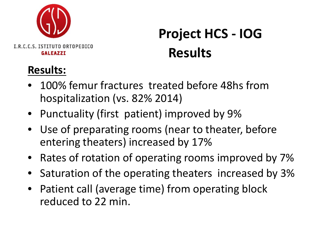

### **Project HCS - IOG Results**

#### **Results:**

- 100% femur fractures treated before 48hs from hospitalization (vs. 82% 2014)
- Punctuality (first patient) improved by 9%
- Use of preparating rooms (near to theater, before entering theaters) increased by 17%
- Rates of rotation of operating rooms improved by 7%
- Saturation of the operating theaters increased by 3%
- Patient call (average time) from operating block reduced to 22 min.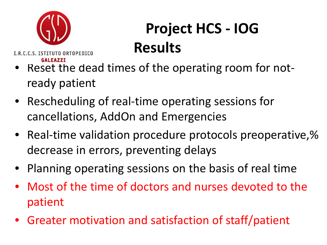

# **Project HCS - IOG Results**

I.R.C.C.S. ISTITUTO ORTOPEDICO **GALEAZZI** 

- Reset the dead times of the operating room for notready patient
- Rescheduling of real-time operating sessions for cancellations, AddOn and Emergencies
- Real-time validation procedure protocols preoperative,% decrease in errors, preventing delays
- Planning operating sessions on the basis of real time
- Most of the time of doctors and nurses devoted to the patient
- Greater motivation and satisfaction of staff/patient